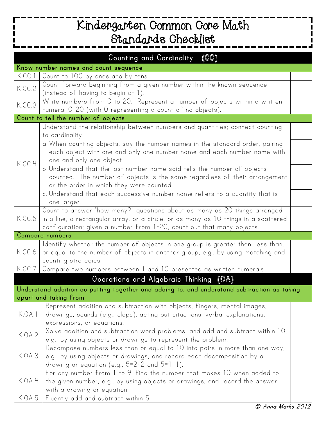## **Kindergarten Common Core Math Standards Checklist**

| <b>Counting and Cardinality</b><br>$(\mathbb{CC})$                                          |                                                                                                                                                          |  |  |  |
|---------------------------------------------------------------------------------------------|----------------------------------------------------------------------------------------------------------------------------------------------------------|--|--|--|
| Know number names and count sequence                                                        |                                                                                                                                                          |  |  |  |
| K.CC.1                                                                                      | Count to 100 by ones and by tens.                                                                                                                        |  |  |  |
| K.CC.2                                                                                      | Count forward beginning from a given number within the known sequence                                                                                    |  |  |  |
|                                                                                             | (instead of having to begin at 1).                                                                                                                       |  |  |  |
| K.CC.3                                                                                      | Write numbers from 0 to 20. Represent a number of objects within a written                                                                               |  |  |  |
|                                                                                             | numeral 0-20 (with 0 representing a count of no objects).                                                                                                |  |  |  |
| Count to tell the number of objects                                                         |                                                                                                                                                          |  |  |  |
| K.CC.4                                                                                      | Understand the relationship between numbers and quantities; connect counting                                                                             |  |  |  |
|                                                                                             | to cardinality.                                                                                                                                          |  |  |  |
|                                                                                             | a. When counting objects, say the number names in the standard order, pairing<br>each object with one and only one number name and each number name with |  |  |  |
|                                                                                             | one and only one object.                                                                                                                                 |  |  |  |
|                                                                                             | b. Understand that the last number name said tells the number of objects                                                                                 |  |  |  |
|                                                                                             | counted. The number of objects is the same regardless of their arrangement                                                                               |  |  |  |
|                                                                                             | or the order in which they were counted.                                                                                                                 |  |  |  |
|                                                                                             | c. Understand that each successive number name refers to a quantity that is                                                                              |  |  |  |
|                                                                                             | one larger.                                                                                                                                              |  |  |  |
|                                                                                             | Count to answer "how many?" questions about as many as 20 things arranged                                                                                |  |  |  |
| K.CC.5                                                                                      | in a line, a rectangular array, or a circle, or as many as 10 things in a scattered                                                                      |  |  |  |
|                                                                                             | configuration; given a number from 1-20, count out that many objects.                                                                                    |  |  |  |
| Compare numbers                                                                             |                                                                                                                                                          |  |  |  |
| K.CC.6                                                                                      | Identify whether the number of objects in one group is greater than, less than,                                                                          |  |  |  |
|                                                                                             | or equal to the number of objects in another group, e.g., by using matching and                                                                          |  |  |  |
| K.CC.7                                                                                      | counting strategies.                                                                                                                                     |  |  |  |
|                                                                                             | Compare two numbers between 1 and 10 presented as written numerals.                                                                                      |  |  |  |
| Operations and Algebraic Thinking (OA)                                                      |                                                                                                                                                          |  |  |  |
| Understand addition as putting together and adding to, and understand subtraction as taking |                                                                                                                                                          |  |  |  |
| apart and taking from                                                                       |                                                                                                                                                          |  |  |  |
| K.OA.1                                                                                      | Represent addition and subtraction with objects, fingers, mental images,                                                                                 |  |  |  |
|                                                                                             | drawings, sounds (e.g., claps), acting out situations, verbal explanations,<br>expressions, or equations.                                                |  |  |  |
| K.OA.2                                                                                      | Solve addition and subtraction word problems, and add and subtract within 10,                                                                            |  |  |  |
|                                                                                             | e.g., by using objects or drawings to represent the problem.                                                                                             |  |  |  |
| K.OA.3                                                                                      | Decompose numbers less than or equal to 10 into pairs in more than one way,                                                                              |  |  |  |
|                                                                                             | e.g., by using objects or drawings, and record each decomposition by a                                                                                   |  |  |  |
|                                                                                             | drawing or equation (e.g., $5=2+2$ and $5=4+1$ ).                                                                                                        |  |  |  |
| K.OA.4                                                                                      | For any number from 1 to 9, find the number that makes 10 when added to                                                                                  |  |  |  |
|                                                                                             | the given number, e.g., by using objects or drawings, and record the answer                                                                              |  |  |  |
|                                                                                             | with a drawing or equation.                                                                                                                              |  |  |  |
| K.OA.5                                                                                      | Fluently add and subtract within 5.                                                                                                                      |  |  |  |

ı